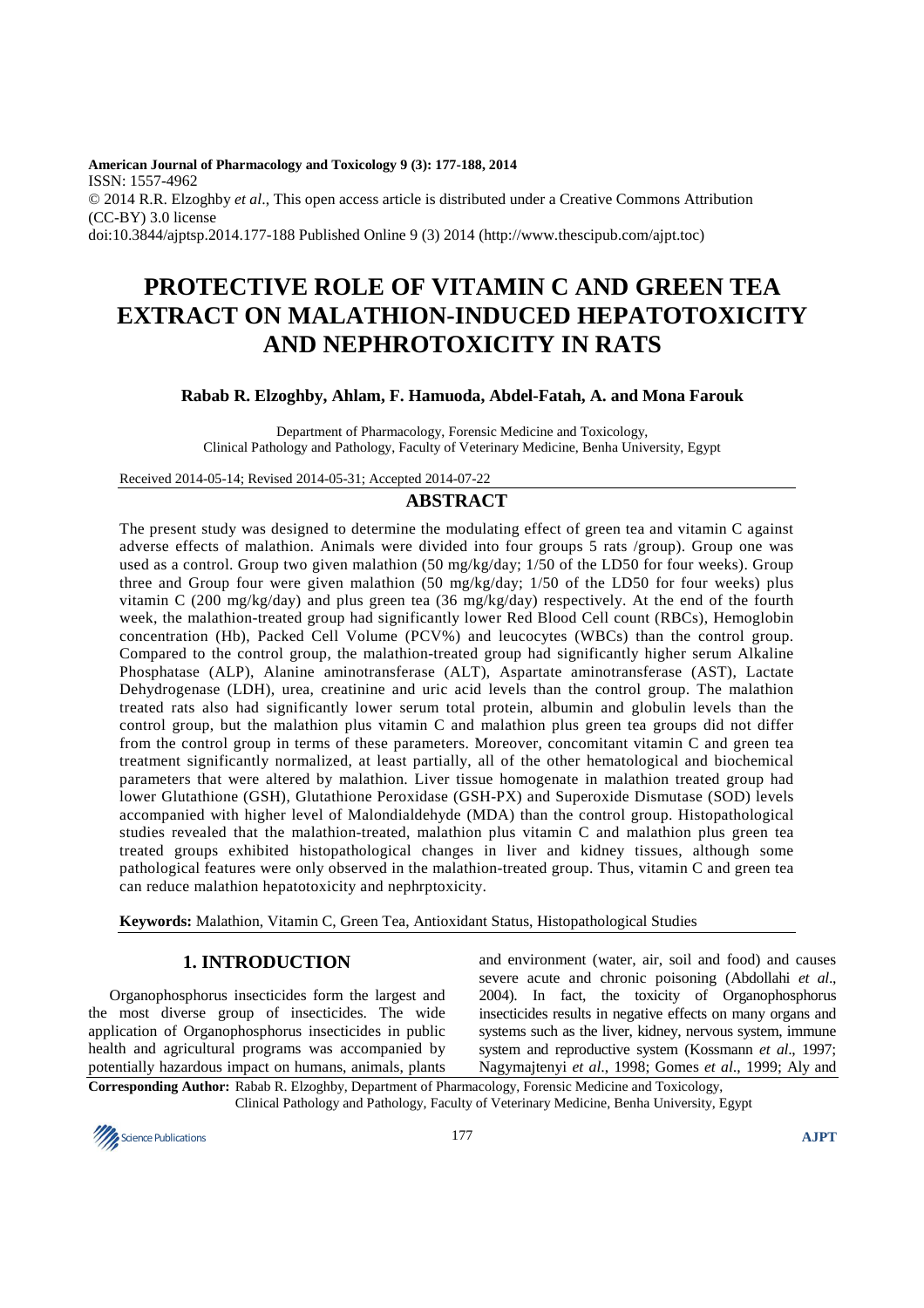**American Journal of Pharmacology and Toxicology 9 (3): 177-188, 2014**  ISSN: 1557-4962 © 2014 R.R. Elzoghby *et al*., This open access article is distributed under a Creative Commons Attribution (CC-BY) 3.0 license doi:10.3844/ajptsp.2014.177-188 Published Online 9 (3) 2014 (http://www.thescipub.com/ajpt.toc)

# **PROTECTIVE ROLE OF VITAMIN C AND GREEN TEA EXTRACT ON MALATHION-INDUCED HEPATOTOXICITY AND NEPHROTOXICITY IN RATS**

# **Rabab R. Elzoghby, Ahlam, F. Hamuoda, Abdel-Fatah, A. and Mona Farouk**

Department of Pharmacology, Forensic Medicine and Toxicology, Clinical Pathology and Pathology, Faculty of Veterinary Medicine, Benha University, Egypt

Received 2014-05-14; Revised 2014-05-31; Accepted 2014-07-22

# **ABSTRACT**

The present study was designed to determine the modulating effect of green tea and vitamin C against adverse effects of malathion. Animals were divided into four groups 5 rats /group). Group one was used as a control. Group two given malathion (50 mg/kg/day; 1/50 of the LD50 for four weeks). Group three and Group four were given malathion (50 mg/kg/day; 1/50 of the LD50 for four weeks) plus vitamin C (200 mg/kg/day) and plus green tea (36 mg/kg/day) respectively. At the end of the fourth week, the malathion-treated group had significantly lower Red Blood Cell count (RBCs), Hemoglobin concentration (Hb), Packed Cell Volume (PCV%) and leucocytes (WBCs) than the control group. Compared to the control group, the malathion-treated group had significantly higher serum Alkaline Phosphatase (ALP), Alanine aminotransferase (ALT), Aspartate aminotransferase (AST), Lactate Dehydrogenase (LDH), urea, creatinine and uric acid levels than the control group. The malathion treated rats also had significantly lower serum total protein, albumin and globulin levels than the control group, but the malathion plus vitamin C and malathion plus green tea groups did not differ from the control group in terms of these parameters. Moreover, concomitant vitamin C and green tea treatment significantly normalized, at least partially, all of the other hematological and biochemical parameters that were altered by malathion. Liver tissue homogenate in malathion treated group had lower Glutathione (GSH), Glutathione Peroxidase (GSH-PX) and Superoxide Dismutase (SOD) levels accompanied with higher level of Malondialdehyde (MDA) than the control group. Histopathological studies revealed that the malathion-treated, malathion plus vitamin C and malathion plus green tea treated groups exhibited histopathological changes in liver and kidney tissues, although some pathological features were only observed in the malathion-treated group. Thus, vitamin C and green tea can reduce malathion hepatotoxicity and nephrptoxicity.

**Keywords:** Malathion, Vitamin C, Green Tea, Antioxidant Status, Histopathological Studies

# **1. INTRODUCTION**

Organophosphorus insecticides form the largest and the most diverse group of insecticides. The wide application of Organophosphorus insecticides in public health and agricultural programs was accompanied by potentially hazardous impact on humans, animals, plants and environment (water, air, soil and food) and causes severe acute and chronic poisoning (Abdollahi *et al*., 2004). In fact, the toxicity of Organophosphorus insecticides results in negative effects on many organs and systems such as the liver, kidney, nervous system, immune system and reproductive system (Kossmann *et al*., 1997; Nagymajtenyi *et al*., 1998; Gomes *et al*., 1999; Aly and

**Corresponding Author:** Rabab R. Elzoghby, Department of Pharmacology, Forensic Medicine and Toxicology, Clinical Pathology and Pathology, Faculty of Veterinary Medicine, Benha University, Egypt

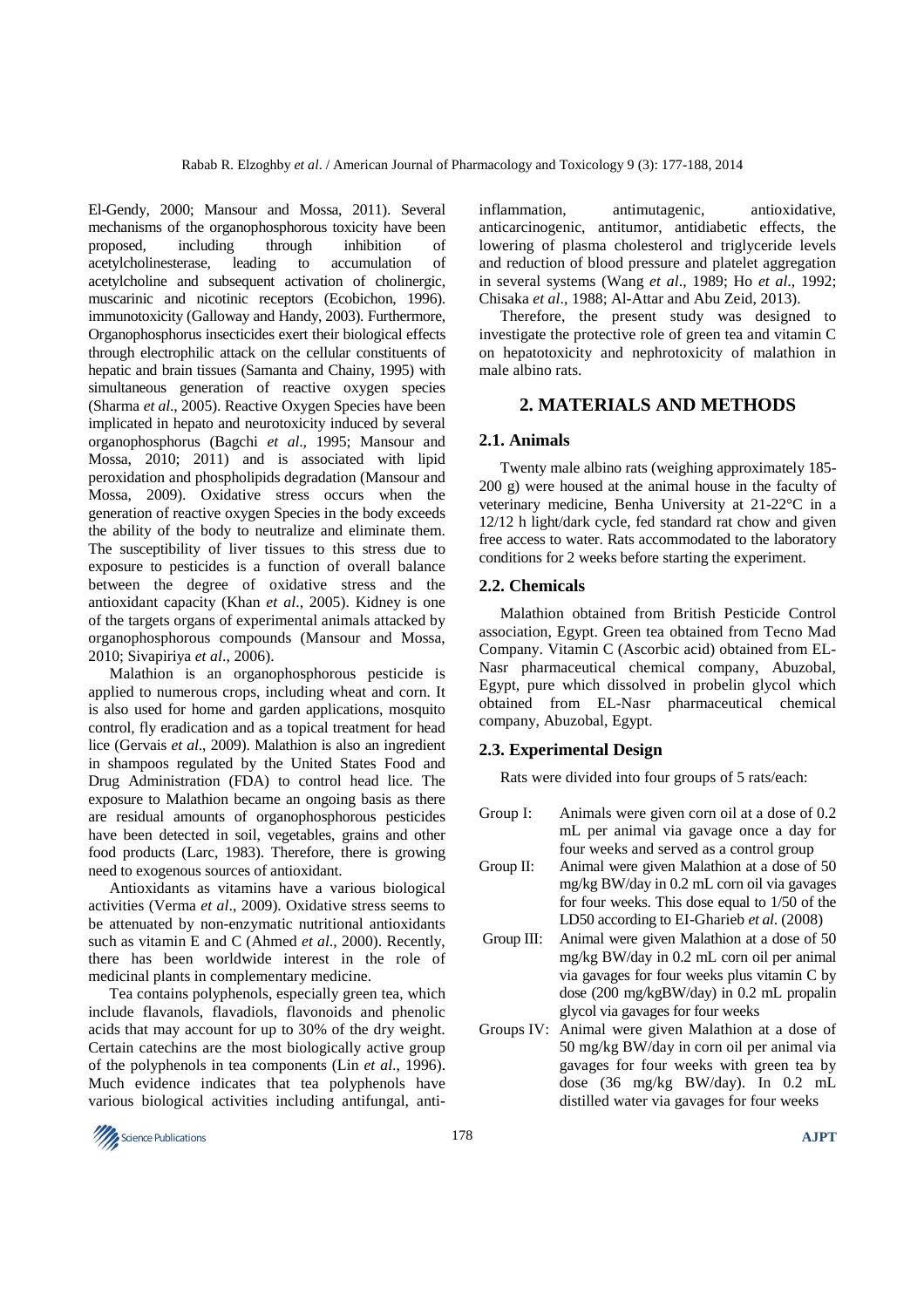El-Gendy, 2000; Mansour and Mossa, 2011). Several mechanisms of the organophosphorous toxicity have been proposed, including through inhibition of acetylcholinesterase, leading to accumulation of acetylcholine and subsequent activation of cholinergic, muscarinic and nicotinic receptors (Ecobichon, 1996). immunotoxicity (Galloway and Handy, 2003). Furthermore, Organophosphorus insecticides exert their biological effects through electrophilic attack on the cellular constituents of hepatic and brain tissues (Samanta and Chainy, 1995) with simultaneous generation of reactive oxygen species (Sharma *et al*., 2005). Reactive Oxygen Species have been implicated in hepato and neurotoxicity induced by several organophosphorus (Bagchi *et al*., 1995; Mansour and Mossa, 2010; 2011) and is associated with lipid peroxidation and phospholipids degradation (Mansour and Mossa, 2009). Oxidative stress occurs when the generation of reactive oxygen Species in the body exceeds the ability of the body to neutralize and eliminate them. The susceptibility of liver tissues to this stress due to exposure to pesticides is a function of overall balance between the degree of oxidative stress and the antioxidant capacity (Khan *et al*., 2005). Kidney is one of the targets organs of experimental animals attacked by organophosphorous compounds (Mansour and Mossa, 2010; Sivapiriya *et al*., 2006).

Malathion is an organophosphorous pesticide is applied to numerous crops, including wheat and corn. It is also used for home and garden applications, mosquito control, fly eradication and as a topical treatment for head lice (Gervais *et al*., 2009). Malathion is also an ingredient in shampoos regulated by the United States Food and Drug Administration (FDA) to control head lice. The exposure to Malathion became an ongoing basis as there are residual amounts of organophosphorous pesticides have been detected in soil, vegetables, grains and other food products (Larc, 1983). Therefore, there is growing need to exogenous sources of antioxidant.

Antioxidants as vitamins have a various biological activities (Verma *et al*., 2009). Oxidative stress seems to be attenuated by non-enzymatic nutritional antioxidants such as vitamin E and C (Ahmed *et al*., 2000). Recently, there has been worldwide interest in the role of medicinal plants in complementary medicine.

Tea contains polyphenols, especially green tea, which include flavanols, flavadiols, flavonoids and phenolic acids that may account for up to 30% of the dry weight. Certain catechins are the most biologically active group of the polyphenols in tea components (Lin *et al*., 1996). Much evidence indicates that tea polyphenols have various biological activities including antifungal, antiinflammation, antimutagenic, antioxidative, anticarcinogenic, antitumor, antidiabetic effects, the lowering of plasma cholesterol and triglyceride levels and reduction of blood pressure and platelet aggregation in several systems (Wang *et al*., 1989; Ho *et al*., 1992; Chisaka *et al*., 1988; Al-Attar and Abu Zeid, 2013).

Therefore, the present study was designed to investigate the protective role of green tea and vitamin C on hepatotoxicity and nephrotoxicity of malathion in male albino rats.

# **2. MATERIALS AND METHODS**

#### **2.1. Animals**

Twenty male albino rats (weighing approximately 185- 200 g) were housed at the animal house in the faculty of veterinary medicine, Benha University at 21-22°C in a 12/12 h light/dark cycle, fed standard rat chow and given free access to water. Rats accommodated to the laboratory conditions for 2 weeks before starting the experiment.

### **2.2. Chemicals**

Malathion obtained from British Pesticide Control association, Egypt. Green tea obtained from Tecno Mad Company. Vitamin C (Ascorbic acid) obtained from EL-Nasr pharmaceutical chemical company, Abuzobal, Egypt, pure which dissolved in probelin glycol which obtained from EL-Nasr pharmaceutical chemical company, Abuzobal, Egypt.

#### **2.3. Experimental Design**

Rats were divided into four groups of 5 rats/each:

- Group I: Animals were given corn oil at a dose of 0.2 mL per animal via gavage once a day for four weeks and served as a control group
- Group II: Animal were given Malathion at a dose of 50 mg/kg BW/day in 0.2 mL corn oil via gavages for four weeks. This dose equal to 1/50 of the LD50 according to EI-Gharieb *et al*. (2008)
- Group III: Animal were given Malathion at a dose of 50 mg/kg BW/day in 0.2 mL corn oil per animal via gavages for four weeks plus vitamin C by dose (200 mg/kgBW/day) in 0.2 mL propalin glycol via gavages for four weeks
- Groups IV: Animal were given Malathion at a dose of 50 mg/kg BW/day in corn oil per animal via gavages for four weeks with green tea by dose (36 mg/kg BW/day). In 0.2 mL distilled water via gavages for four weeks

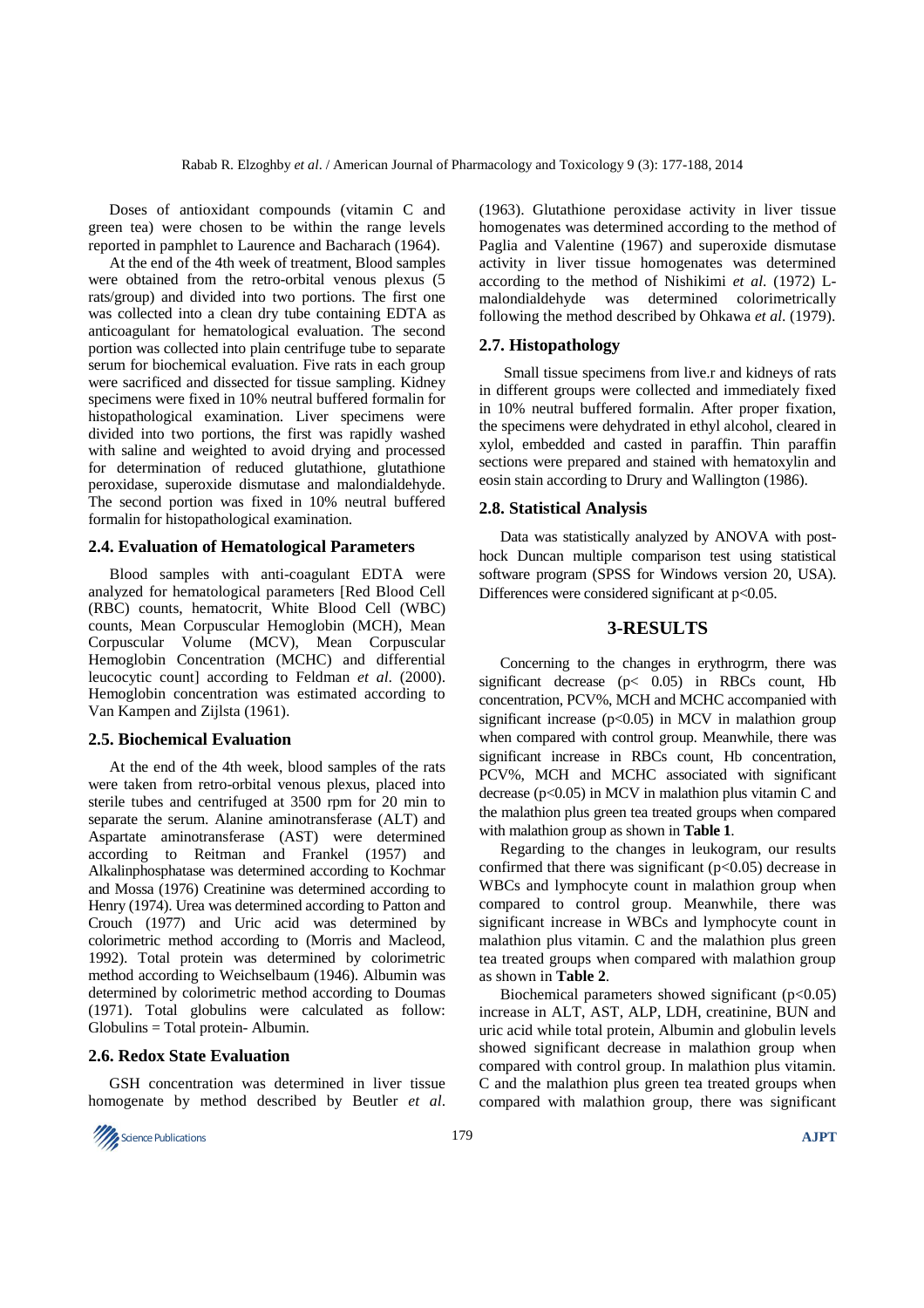Doses of antioxidant compounds (vitamin C and green tea) were chosen to be within the range levels reported in pamphlet to Laurence and Bacharach (1964).

At the end of the 4th week of treatment, Blood samples were obtained from the retro-orbital venous plexus (5 rats/group) and divided into two portions. The first one was collected into a clean dry tube containing EDTA as anticoagulant for hematological evaluation. The second portion was collected into plain centrifuge tube to separate serum for biochemical evaluation. Five rats in each group were sacrificed and dissected for tissue sampling. Kidney specimens were fixed in 10% neutral buffered formalin for histopathological examination. Liver specimens were divided into two portions, the first was rapidly washed with saline and weighted to avoid drying and processed for determination of reduced glutathione, glutathione peroxidase, superoxide dismutase and malondialdehyde. The second portion was fixed in 10% neutral buffered formalin for histopathological examination.

#### **2.4. Evaluation of Hematological Parameters**

Blood samples with anti-coagulant EDTA were analyzed for hematological parameters [Red Blood Cell (RBC) counts, hematocrit, White Blood Cell (WBC) counts, Mean Corpuscular Hemoglobin (MCH), Mean Corpuscular Volume (MCV), Mean Corpuscular Hemoglobin Concentration (MCHC) and differential leucocytic count] according to Feldman *et al*. (2000). Hemoglobin concentration was estimated according to Van Kampen and Zijlsta (1961).

#### **2.5. Biochemical Evaluation**

At the end of the 4th week, blood samples of the rats were taken from retro-orbital venous plexus, placed into sterile tubes and centrifuged at 3500 rpm for 20 min to separate the serum. Alanine aminotransferase (ALT) and Aspartate aminotransferase (AST) were determined according to Reitman and Frankel (1957) and Alkalinphosphatase was determined according to Kochmar and Mossa (1976) Creatinine was determined according to Henry (1974). Urea was determined according to Patton and Crouch (1977) and Uric acid was determined by colorimetric method according to (Morris and Macleod, 1992). Total protein was determined by colorimetric method according to Weichselbaum (1946). Albumin was determined by colorimetric method according to Doumas (1971). Total globulins were calculated as follow: Globulins = Total protein- Albumin.

#### **2.6. Redox State Evaluation**

GSH concentration was determined in liver tissue homogenate by method described by Beutler *et al*.



(1963). Glutathione peroxidase activity in liver tissue homogenates was determined according to the method of Paglia and Valentine (1967) and superoxide dismutase activity in liver tissue homogenates was determined according to the method of Nishikimi *et al*. (1972) Lmalondialdehyde was determined colorimetrically following the method described by Ohkawa *et al*. (1979).

#### **2.7. Histopathology**

 Small tissue specimens from live.r and kidneys of rats in different groups were collected and immediately fixed in 10% neutral buffered formalin. After proper fixation, the specimens were dehydrated in ethyl alcohol, cleared in xylol, embedded and casted in paraffin. Thin paraffin sections were prepared and stained with hematoxylin and eosin stain according to Drury and Wallington (1986).

#### **2.8. Statistical Analysis**

Data was statistically analyzed by ANOVA with posthock Duncan multiple comparison test using statistical software program (SPSS for Windows version 20, USA). Differences were considered significant at p<0.05.

#### **3-RESULTS**

Concerning to the changes in erythrogrm, there was significant decrease (p< 0.05) in RBCs count, Hb concentration, PCV%, MCH and MCHC accompanied with significant increase  $(p<0.05)$  in MCV in malathion group when compared with control group. Meanwhile, there was significant increase in RBCs count, Hb concentration, PCV%, MCH and MCHC associated with significant decrease ( $p<0.05$ ) in MCV in malathion plus vitamin C and the malathion plus green tea treated groups when compared with malathion group as shown in **Table 1**.

Regarding to the changes in leukogram, our results confirmed that there was significant  $(p<0.05)$  decrease in WBCs and lymphocyte count in malathion group when compared to control group. Meanwhile, there was significant increase in WBCs and lymphocyte count in malathion plus vitamin. C and the malathion plus green tea treated groups when compared with malathion group as shown in **Table 2**.

Biochemical parameters showed significant  $(p<0.05)$ increase in ALT, AST, ALP, LDH, creatinine, BUN and uric acid while total protein, Albumin and globulin levels showed significant decrease in malathion group when compared with control group. In malathion plus vitamin. C and the malathion plus green tea treated groups when compared with malathion group, there was significant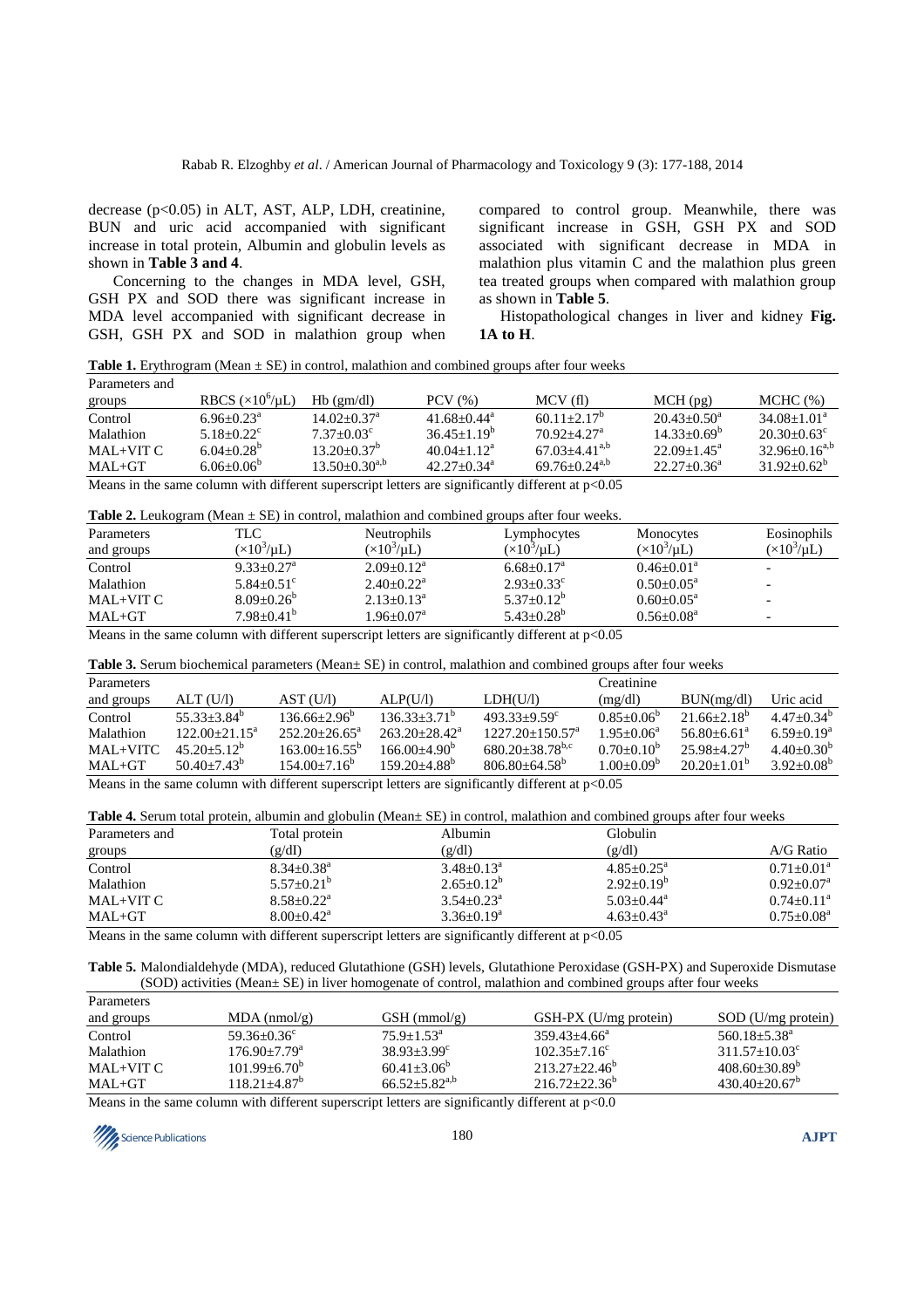decrease (p<0.05) in ALT, AST, ALP, LDH, creatinine, BUN and uric acid accompanied with significant increase in total protein, Albumin and globulin levels as shown in **Table 3 and 4**.

 Concerning to the changes in MDA level, GSH, GSH PX and SOD there was significant increase in MDA level accompanied with significant decrease in GSH, GSH PX and SOD in malathion group when compared to control group. Meanwhile, there was significant increase in GSH, GSH PX and SOD associated with significant decrease in MDA in malathion plus vitamin C and the malathion plus green tea treated groups when compared with malathion group as shown in **Table 5**.

Histopathological changes in liver and kidney **Fig. 1A to H**.

|  |  | <b>Table 1.</b> Erythrogram (Mean $\pm$ SE) in control, malathion and combined groups after four weeks |  |
|--|--|--------------------------------------------------------------------------------------------------------|--|
|--|--|--------------------------------------------------------------------------------------------------------|--|

| Parameters and                                                                                      |                            |                             |                             |                             |                      |                        |
|-----------------------------------------------------------------------------------------------------|----------------------------|-----------------------------|-----------------------------|-----------------------------|----------------------|------------------------|
| groups                                                                                              | RBCS $(\times 10^6/\mu L)$ | $Hb$ (gm/dl)                | $PCV$ $(\%)$                | MCV (fl)                    | $MCH$ (pg)           | $MCHC \, (\%)$         |
| Control                                                                                             | $6.96 + 0.23$ <sup>a</sup> | $14.02 + 0.37$ <sup>a</sup> | $41.68 + 0.44$ <sup>a</sup> | $60.11 + 2.17$ <sup>b</sup> | $20.43 + 0.50^a$     | $34.08 + 1.01^a$       |
| Malathion                                                                                           | $5.18 + 0.22^{\circ}$      | $7.37+0.03^c$               | $36.45+1.19^b$              | $70.92 + 4.27$ <sup>a</sup> | $14.33+0.69^b$       | $20.30 + 0.63^{\circ}$ |
| $MAI+VITC$                                                                                          | $6.04 + 0.28$ <sup>b</sup> | $13.20 + 0.37^b$            | $40.04 + 1.12^a$            | $67.03 + 4.41^{a,b}$        | $22.09+1.45^{\circ}$ | $32.96 + 0.16^{a,b}$   |
| $MAL+GT$                                                                                            | $6.06 + 0.06^b$            | $13.50+0.30^{a,b}$          | $42.27+0.34^a$              | $69.76 + 0.24^{a,b}$        | $22.27+0.36^a$       | $31.92 + 0.62^b$       |
| Means in the same column with different superscript letters are significantly different at $p<0.05$ |                            |                             |                             |                             |                      |                        |

**Table 2.** Leukogram (Mean  $\pm$  SE) in control, malathion and combined groups after four weeks.

| Parameters | TLC                   | <b>Neutrophils</b>         | Lymphocytes           | Monocytes              | Eosinophils              |
|------------|-----------------------|----------------------------|-----------------------|------------------------|--------------------------|
| and groups | $(\times 10^3/\mu L)$ | $(\times 10^3/\mu L)$      | $(\times 10^3/\mu L)$ | $(\times 10^3/\mu L)$  | $(\times 10^3/\mu L)$    |
| Control    | $9.33+0.27^a$         | $2.09+0.12^a$              | $6.68+0.17a$          | $0.46 + 0.01^a$        |                          |
| Malathion  | $5.84 + 0.51$ °       | $2.40+0.22^a$              | $2.93 + 0.33^c$       | $0.50+0.05^{\text{a}}$ |                          |
| $MAL+VITC$ | $8.09 + 0.26^b$       | $2.13 \pm 0.13^a$          | $5.37+0.12^b$         | $0.60 + 0.05^{\circ}$  | $\overline{\phantom{0}}$ |
| $MAL+GT$   | $7.98 + 0.41^b$       | $1.96 + 0.07$ <sup>a</sup> | $5.43 + 0.28^b$       | $0.56 + 0.08^a$        | $\overline{\phantom{0}}$ |

Means in the same column with different superscript letters are significantly different at p<0.05

**Table 3.** Serum biochemical parameters (Mean± SE) in control, malathion and combined groups after four weeks

| Parameters   |                  |                    |                    |                                                                                                                                                      | Creatinine      |                             |                 |
|--------------|------------------|--------------------|--------------------|------------------------------------------------------------------------------------------------------------------------------------------------------|-----------------|-----------------------------|-----------------|
| and groups   | ALT(U/I)         | AST (U/I)          | ALP(U/I)           | LDH(U/I)                                                                                                                                             | (mg/dl)         | BUN(mg/dl)                  | Uric acid       |
| Control      | $55.33 + 3.84^b$ | $136.66 + 2.96^b$  | $136.33 + 3.71^b$  | $493.33+9.59^{\circ}$                                                                                                                                | $0.85 + 0.06^b$ | $21.66 + 2.18^{\circ}$      | $4.47+0.34^b$   |
| Malathion    | $122.00+21.15^a$ | $252.20 + 26.65^a$ | $263.20 + 28.42^a$ | $1227.20+150.57a$                                                                                                                                    | $1.95 + 0.06^a$ | $56.80 + 6.61^a$            | $6.59+0.19^a$   |
| $MAI + VITC$ | $45.20 + 5.12^b$ | $163.00 + 16.55^b$ | $166.00 + 4.90b$   | $680.20 + 38.78$ <sup>b,c</sup>                                                                                                                      | $0.70+0.10^b$   | $25.98 + 4.27$ <sup>b</sup> | $4.40+0.30b$    |
| $MAL+GT$     | $50.40 + 7.43^b$ | $154.00+7.16^b$    | $159.20 + 4.88^b$  | $806.80 + 64.58^b$                                                                                                                                   | $1.00+0.09^b$   | $20.20 \pm 1.01^{\circ}$    | $3.92 + 0.08^b$ |
|              |                  |                    |                    | $\mathbf{M}$ and $\mathbf{M}$ and $\mathbf{M}$ and $\mathbf{M}$ and $\mathbf{M}$ and $\mathbf{M}$ and $\mathbf{M}$ and $\mathbf{M}$ and $\mathbf{M}$ |                 |                             |                 |

Means in the same column with different superscript letters are significantly different at  $p<0.05$ 

**Table 4.** Serum total protein, albumin and globulin (Mean± SE) in control, malathion and combined groups after four weeks

| Parameters and | Total protein   | <b>Albumin</b>                                               | Globulin                 |                            |
|----------------|-----------------|--------------------------------------------------------------|--------------------------|----------------------------|
| groups         | (g/dI)          | (g/dl)                                                       | (g/dl)                   | A/G Ratio                  |
| Control        | $8.34 + 0.38^a$ | $3.48 + 0.13^a$                                              | $4.85 + 0.25^{\text{a}}$ | $0.71 + 0.01^a$            |
| Malathion      | $5.57+0.21^b$   | $2.65+0.12^b$                                                | $2.92 \pm 0.19^b$        | $0.92 + 0.07$ <sup>a</sup> |
| MAL+VIT C      | $8.58 + 0.22^a$ | $3.54 + 0.23^a$                                              | $5.03 + 0.44^a$          | $0.74+0.11^a$              |
| $MAL+GT$       | $8.00+0.42^a$   | $3.36 + 0.19^a$                                              | $4.63 + 0.43^{\circ}$    | $0.75 + 0.08^a$            |
| .<br>__        | .<br>. .        | .<br>$\sim$ $\sim$ $\sim$ $\sim$ $\sim$ $\sim$ $\sim$ $\sim$ | - - -                    |                            |

Means in the same column with different superscript letters are significantly different at  $p<0.05$ 

**Table 5.** Malondialdehyde (MDA), reduced Glutathione (GSH) levels, Glutathione Peroxidase (GSH-PX) and Superoxide Dismutase (SOD) activities (Mean± SE) in liver homogenate of control, malathion and combined groups after four weeks

| Parameters<br>and groups | $MDA$ (nmol/g)               | $GSH$ (mmol/g)              | GSH-PX (U/mg protein)   | $SOD$ (U/mg protein)         |
|--------------------------|------------------------------|-----------------------------|-------------------------|------------------------------|
| Control                  | $59.36 + 0.36^{\circ}$       | $75.9 + 1.53^{\circ}$       | $359.43 + 4.66^a$       | $560.18 + 5.38$ <sup>a</sup> |
| Malathion                | $176.90 + 7.79$ <sup>a</sup> | $38.93 + 3.99$ <sup>c</sup> | $102.35 + 7.16^{\circ}$ | $311.57+10.03^{\circ}$       |
| $MAI+VITC$               | $101.99 \pm 6.70^{\rm b}$    | $60.41 + 3.06^b$            | $213.27 + 22.46^b$      | $408.60 + 30.89^b$           |
| $MAL+GT$                 | $118.21 + 4.87^b$            | $66.52 + 5.82^{a,b}$        | $216.72 + 22.36^b$      | $430.40+20.67^b$             |
|                          |                              |                             |                         |                              |

Means in the same column with different superscript letters are significantly different at  $p<0.0$ 

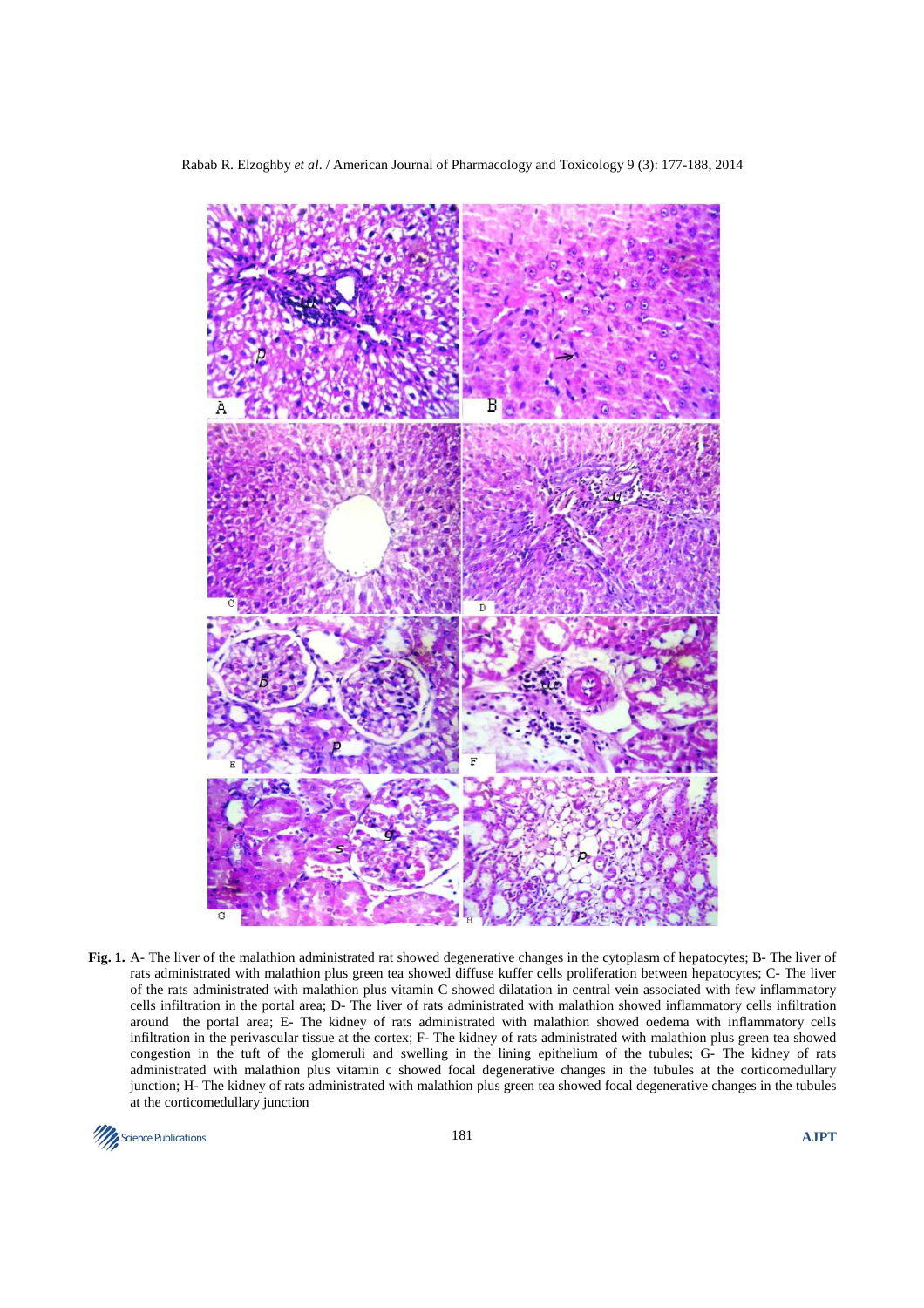

Rabab R. Elzoghby *et al*. / American Journal of Pharmacology and Toxicology 9 (3): 177-188, 2014

**Fig. 1.** A- The liver of the malathion administrated rat showed degenerative changes in the cytoplasm of hepatocytes; B- The liver of rats administrated with malathion plus green tea showed diffuse kuffer cells proliferation between hepatocytes; C- The liver of the rats administrated with malathion plus vitamin C showed dilatation in central vein associated with few inflammatory cells infiltration in the portal area; D- The liver of rats administrated with malathion showed inflammatory cells infiltration around the portal area; E- The kidney of rats administrated with malathion showed oedema with inflammatory cells infiltration in the perivascular tissue at the cortex; F- The kidney of rats administrated with malathion plus green tea showed congestion in the tuft of the glomeruli and swelling in the lining epithelium of the tubules; G- The kidney of rats administrated with malathion plus vitamin c showed focal degenerative changes in the tubules at the corticomedullary junction; H- The kidney of rats administrated with malathion plus green tea showed focal degenerative changes in the tubules at the corticomedullary junction

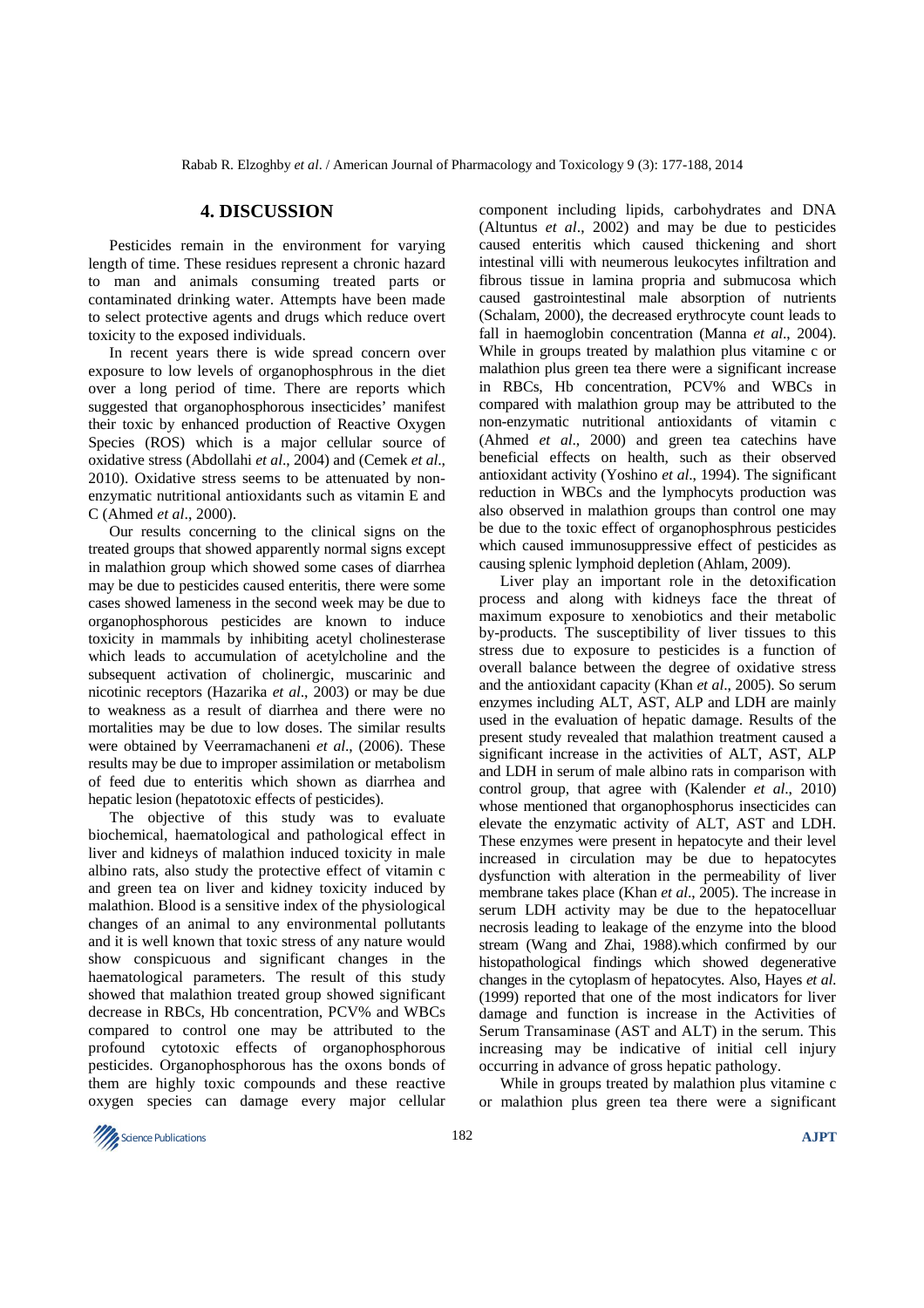# **4. DISCUSSION**

Pesticides remain in the environment for varying length of time. These residues represent a chronic hazard to man and animals consuming treated parts or contaminated drinking water. Attempts have been made to select protective agents and drugs which reduce overt toxicity to the exposed individuals.

In recent years there is wide spread concern over exposure to low levels of organophosphrous in the diet over a long period of time. There are reports which suggested that organophosphorous insecticides' manifest their toxic by enhanced production of Reactive Oxygen Species (ROS) which is a major cellular source of oxidative stress (Abdollahi *et al*., 2004) and (Cemek *et al*., 2010). Oxidative stress seems to be attenuated by nonenzymatic nutritional antioxidants such as vitamin E and C (Ahmed *et al*., 2000).

Our results concerning to the clinical signs on the treated groups that showed apparently normal signs except in malathion group which showed some cases of diarrhea may be due to pesticides caused enteritis, there were some cases showed lameness in the second week may be due to organophosphorous pesticides are known to induce toxicity in mammals by inhibiting acetyl cholinesterase which leads to accumulation of acetylcholine and the subsequent activation of cholinergic, muscarinic and nicotinic receptors (Hazarika *et al*., 2003) or may be due to weakness as a result of diarrhea and there were no mortalities may be due to low doses. The similar results were obtained by Veerramachaneni *et al*., (2006). These results may be due to improper assimilation or metabolism of feed due to enteritis which shown as diarrhea and hepatic lesion (hepatotoxic effects of pesticides).

The objective of this study was to evaluate biochemical, haematological and pathological effect in liver and kidneys of malathion induced toxicity in male albino rats, also study the protective effect of vitamin c and green tea on liver and kidney toxicity induced by malathion. Blood is a sensitive index of the physiological changes of an animal to any environmental pollutants and it is well known that toxic stress of any nature would show conspicuous and significant changes in the haematological parameters. The result of this study showed that malathion treated group showed significant decrease in RBCs, Hb concentration, PCV% and WBCs compared to control one may be attributed to the profound cytotoxic effects of organophosphorous pesticides. Organophosphorous has the oxons bonds of them are highly toxic compounds and these reactive oxygen species can damage every major cellular

component including lipids, carbohydrates and DNA (Altuntus *et al*., 2002) and may be due to pesticides caused enteritis which caused thickening and short intestinal villi with neumerous leukocytes infiltration and fibrous tissue in lamina propria and submucosa which caused gastrointestinal male absorption of nutrients (Schalam, 2000), the decreased erythrocyte count leads to fall in haemoglobin concentration (Manna *et al*., 2004). While in groups treated by malathion plus vitamine c or malathion plus green tea there were a significant increase in RBCs, Hb concentration, PCV% and WBCs in compared with malathion group may be attributed to the non-enzymatic nutritional antioxidants of vitamin c (Ahmed *et al*., 2000) and green tea catechins have beneficial effects on health, such as their observed antioxidant activity (Yoshino *et al*., 1994). The significant reduction in WBCs and the lymphocyts production was also observed in malathion groups than control one may be due to the toxic effect of organophosphrous pesticides which caused immunosuppressive effect of pesticides as causing splenic lymphoid depletion (Ahlam, 2009).

Liver play an important role in the detoxification process and along with kidneys face the threat of maximum exposure to xenobiotics and their metabolic by-products. The susceptibility of liver tissues to this stress due to exposure to pesticides is a function of overall balance between the degree of oxidative stress and the antioxidant capacity (Khan *et al*., 2005). So serum enzymes including ALT, AST, ALP and LDH are mainly used in the evaluation of hepatic damage. Results of the present study revealed that malathion treatment caused a significant increase in the activities of ALT, AST, ALP and LDH in serum of male albino rats in comparison with control group, that agree with (Kalender *et al*., 2010) whose mentioned that organophosphorus insecticides can elevate the enzymatic activity of ALT, AST and LDH. These enzymes were present in hepatocyte and their level increased in circulation may be due to hepatocytes dysfunction with alteration in the permeability of liver membrane takes place (Khan *et al*., 2005). The increase in serum LDH activity may be due to the hepatocelluar necrosis leading to leakage of the enzyme into the blood stream (Wang and Zhai, 1988).which confirmed by our histopathological findings which showed degenerative changes in the cytoplasm of hepatocytes. Also, Hayes *et al*. (1999) reported that one of the most indicators for liver damage and function is increase in the Activities of Serum Transaminase (AST and ALT) in the serum. This increasing may be indicative of initial cell injury occurring in advance of gross hepatic pathology.

While in groups treated by malathion plus vitamine c or malathion plus green tea there were a significant

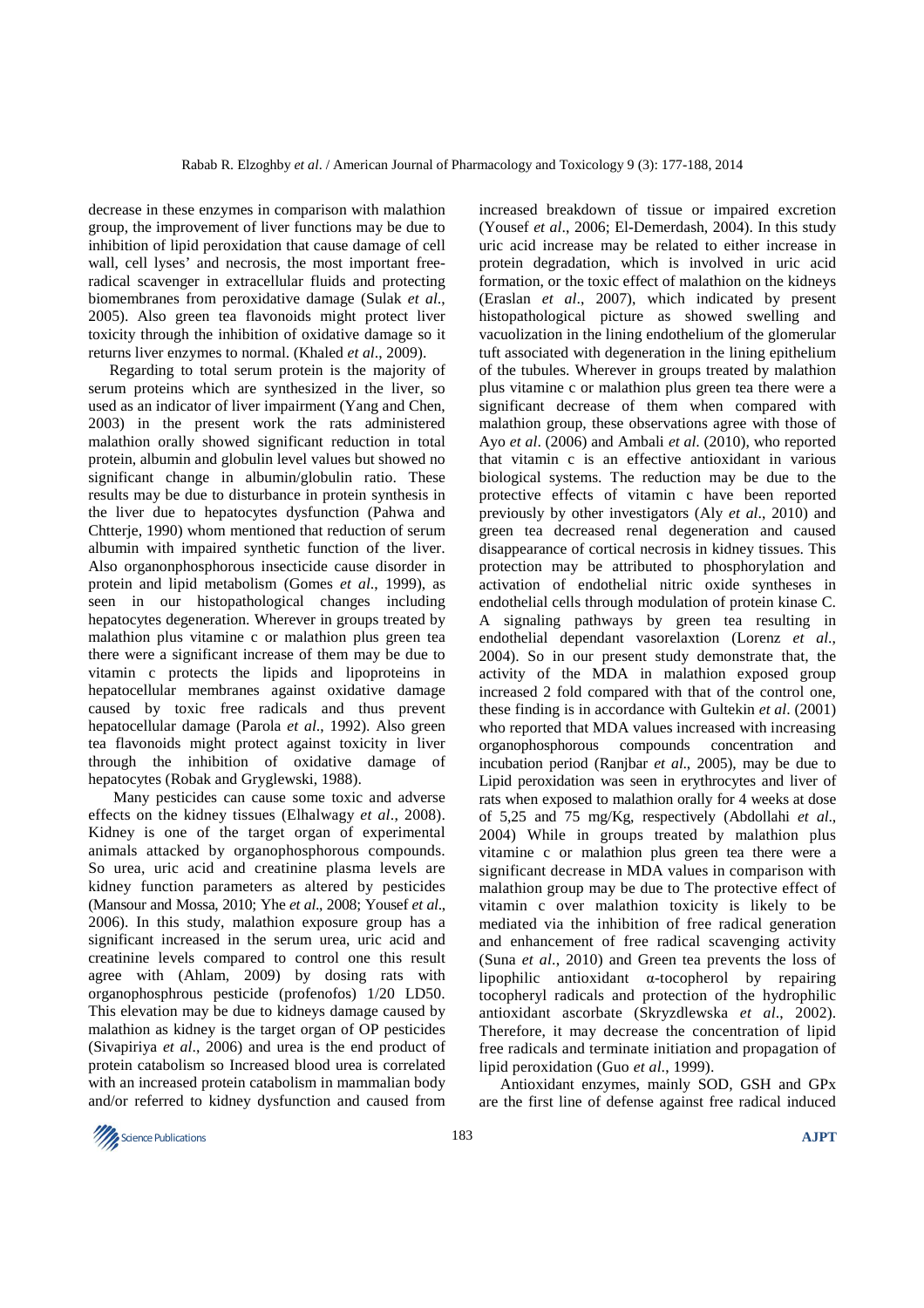decrease in these enzymes in comparison with malathion group, the improvement of liver functions may be due to inhibition of lipid peroxidation that cause damage of cell wall, cell lyses' and necrosis, the most important freeradical scavenger in extracellular fluids and protecting biomembranes from peroxidative damage (Sulak *et al*., 2005). Also green tea flavonoids might protect liver toxicity through the inhibition of oxidative damage so it returns liver enzymes to normal. (Khaled *et al*., 2009).

Regarding to total serum protein is the majority of serum proteins which are synthesized in the liver, so used as an indicator of liver impairment (Yang and Chen, 2003) in the present work the rats administered malathion orally showed significant reduction in total protein, albumin and globulin level values but showed no significant change in albumin/globulin ratio. These results may be due to disturbance in protein synthesis in the liver due to hepatocytes dysfunction (Pahwa and Chtterje, 1990) whom mentioned that reduction of serum albumin with impaired synthetic function of the liver. Also organonphosphorous insecticide cause disorder in protein and lipid metabolism (Gomes *et al*., 1999), as seen in our histopathological changes including hepatocytes degeneration. Wherever in groups treated by malathion plus vitamine c or malathion plus green tea there were a significant increase of them may be due to vitamin c protects the lipids and lipoproteins in hepatocellular membranes against oxidative damage caused by toxic free radicals and thus prevent hepatocellular damage (Parola *et al*., 1992). Also green tea flavonoids might protect against toxicity in liver through the inhibition of oxidative damage of hepatocytes (Robak and Gryglewski, 1988).

 Many pesticides can cause some toxic and adverse effects on the kidney tissues (Elhalwagy *et al*., 2008). Kidney is one of the target organ of experimental animals attacked by organophosphorous compounds. So urea, uric acid and creatinine plasma levels are kidney function parameters as altered by pesticides (Mansour and Mossa, 2010; Yhe *et al*., 2008; Yousef *et al*., 2006). In this study, malathion exposure group has a significant increased in the serum urea, uric acid and creatinine levels compared to control one this result agree with (Ahlam, 2009) by dosing rats with organophosphrous pesticide (profenofos) 1/20 LD50. This elevation may be due to kidneys damage caused by malathion as kidney is the target organ of OP pesticides (Sivapiriya *et al*., 2006) and urea is the end product of protein catabolism so Increased blood urea is correlated with an increased protein catabolism in mammalian body and/or referred to kidney dysfunction and caused from

increased breakdown of tissue or impaired excretion (Yousef *et al*., 2006; El-Demerdash, 2004). In this study uric acid increase may be related to either increase in protein degradation, which is involved in uric acid formation, or the toxic effect of malathion on the kidneys (Eraslan *et al*., 2007), which indicated by present histopathological picture as showed swelling and vacuolization in the lining endothelium of the glomerular tuft associated with degeneration in the lining epithelium of the tubules. Wherever in groups treated by malathion plus vitamine c or malathion plus green tea there were a significant decrease of them when compared with malathion group, these observations agree with those of Ayo *et al*. (2006) and Ambali *et al*. (2010), who reported that vitamin c is an effective antioxidant in various biological systems. The reduction may be due to the protective effects of vitamin c have been reported previously by other investigators (Aly *et al*., 2010) and green tea decreased renal degeneration and caused disappearance of cortical necrosis in kidney tissues. This protection may be attributed to phosphorylation and activation of endothelial nitric oxide syntheses in endothelial cells through modulation of protein kinase C. A signaling pathways by green tea resulting in endothelial dependant vasorelaxtion (Lorenz *et al*., 2004). So in our present study demonstrate that, the activity of the MDA in malathion exposed group increased 2 fold compared with that of the control one, these finding is in accordance with Gultekin *et al*. (2001) who reported that MDA values increased with increasing organophosphorous compounds concentration and incubation period (Ranjbar *et al*., 2005), may be due to Lipid peroxidation was seen in erythrocytes and liver of rats when exposed to malathion orally for 4 weeks at dose of 5,25 and 75 mg/Kg, respectively (Abdollahi *et al*., 2004) While in groups treated by malathion plus vitamine c or malathion plus green tea there were a significant decrease in MDA values in comparison with malathion group may be due to The protective effect of vitamin c over malathion toxicity is likely to be mediated via the inhibition of free radical generation and enhancement of free radical scavenging activity (Suna *et al*., 2010) and Green tea prevents the loss of lipophilic antioxidant α-tocopherol by repairing tocopheryl radicals and protection of the hydrophilic antioxidant ascorbate (Skryzdlewska *et al*., 2002). Therefore, it may decrease the concentration of lipid free radicals and terminate initiation and propagation of lipid peroxidation (Guo *et al*., 1999).

Antioxidant enzymes, mainly SOD, GSH and GPx are the first line of defense against free radical induced

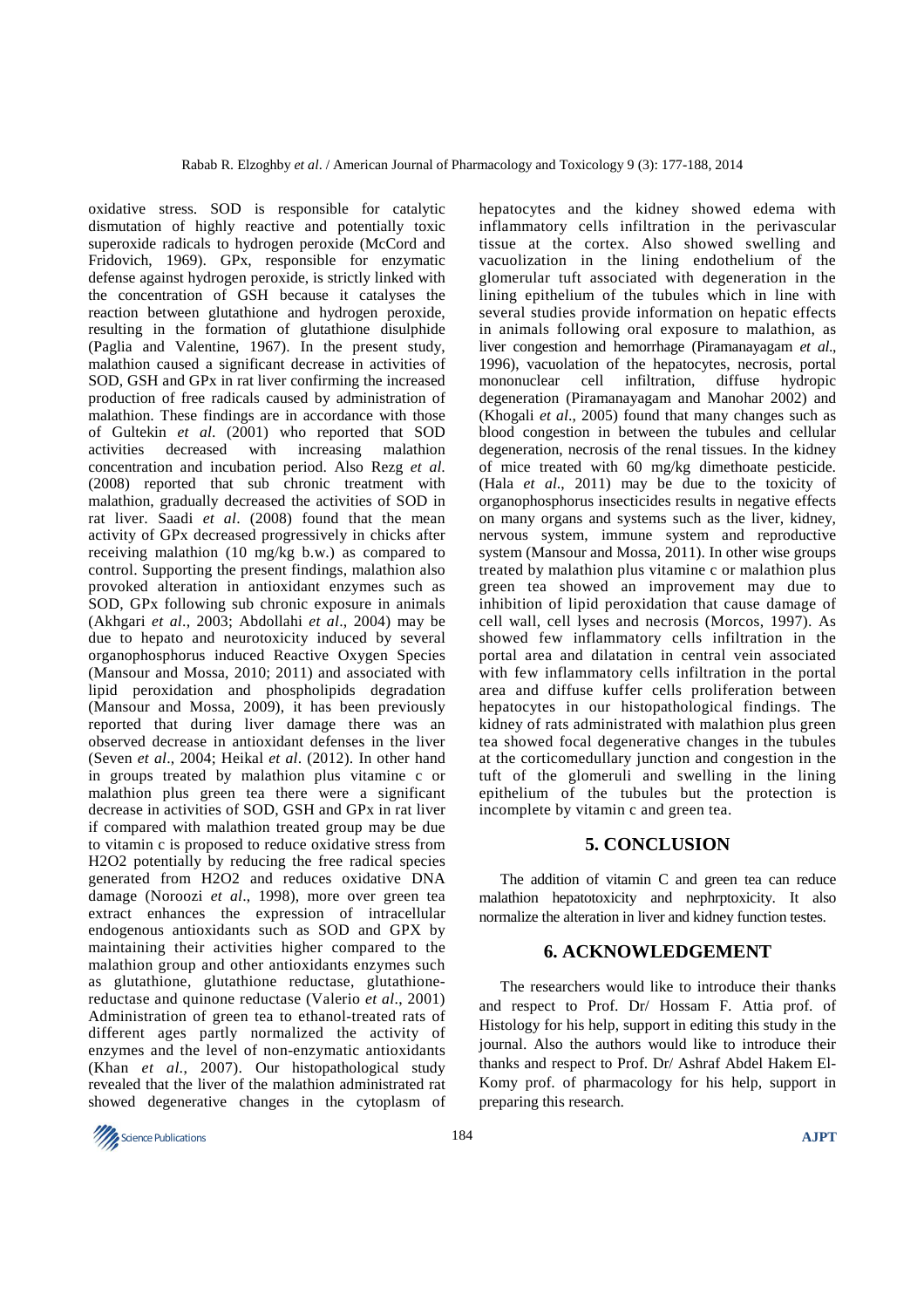oxidative stress. SOD is responsible for catalytic dismutation of highly reactive and potentially toxic superoxide radicals to hydrogen peroxide (McCord and Fridovich, 1969). GPx, responsible for enzymatic defense against hydrogen peroxide, is strictly linked with the concentration of GSH because it catalyses the reaction between glutathione and hydrogen peroxide, resulting in the formation of glutathione disulphide (Paglia and Valentine, 1967). In the present study, malathion caused a significant decrease in activities of SOD, GSH and GPx in rat liver confirming the increased production of free radicals caused by administration of malathion. These findings are in accordance with those of Gultekin *et al*. (2001) who reported that SOD activities decreased with increasing malathion concentration and incubation period. Also Rezg *et al*. (2008) reported that sub chronic treatment with malathion, gradually decreased the activities of SOD in rat liver. Saadi *et al*. (2008) found that the mean activity of GPx decreased progressively in chicks after receiving malathion (10 mg/kg b.w.) as compared to control. Supporting the present findings, malathion also provoked alteration in antioxidant enzymes such as SOD, GPx following sub chronic exposure in animals (Akhgari *et al*., 2003; Abdollahi *et al*., 2004) may be due to hepato and neurotoxicity induced by several organophosphorus induced Reactive Oxygen Species (Mansour and Mossa, 2010; 2011) and associated with lipid peroxidation and phospholipids degradation (Mansour and Mossa, 2009), it has been previously reported that during liver damage there was an observed decrease in antioxidant defenses in the liver (Seven *et al*., 2004; Heikal *et al*. (2012). In other hand in groups treated by malathion plus vitamine c or malathion plus green tea there were a significant decrease in activities of SOD, GSH and GPx in rat liver if compared with malathion treated group may be due to vitamin c is proposed to reduce oxidative stress from H2O2 potentially by reducing the free radical species generated from H2O2 and reduces oxidative DNA damage (Noroozi *et al*., 1998), more over green tea extract enhances the expression of intracellular endogenous antioxidants such as SOD and GPX by maintaining their activities higher compared to the malathion group and other antioxidants enzymes such as glutathione, glutathione reductase, glutathionereductase and quinone reductase (Valerio *et al*., 2001) Administration of green tea to ethanol-treated rats of different ages partly normalized the activity of enzymes and the level of non-enzymatic antioxidants (Khan *et al*., 2007). Our histopathological study revealed that the liver of the malathion administrated rat showed degenerative changes in the cytoplasm of

**Science Publications** 184 **AJPT AJPT** 

hepatocytes and the kidney showed edema with inflammatory cells infiltration in the perivascular tissue at the cortex. Also showed swelling and vacuolization in the lining endothelium of the glomerular tuft associated with degeneration in the lining epithelium of the tubules which in line with several studies provide information on hepatic effects in animals following oral exposure to malathion, as liver congestion and hemorrhage (Piramanayagam *et al*., 1996), vacuolation of the hepatocytes, necrosis, portal mononuclear cell infiltration, diffuse hydropic degeneration (Piramanayagam and Manohar 2002) and (Khogali *et al*., 2005) found that many changes such as blood congestion in between the tubules and cellular degeneration, necrosis of the renal tissues. In the kidney of mice treated with 60 mg/kg dimethoate pesticide. (Hala *et al*., 2011) may be due to the toxicity of organophosphorus insecticides results in negative effects on many organs and systems such as the liver, kidney, nervous system, immune system and reproductive system (Mansour and Mossa, 2011). In other wise groups treated by malathion plus vitamine c or malathion plus green tea showed an improvement may due to inhibition of lipid peroxidation that cause damage of cell wall, cell lyses and necrosis (Morcos, 1997). As showed few inflammatory cells infiltration in the portal area and dilatation in central vein associated with few inflammatory cells infiltration in the portal area and diffuse kuffer cells proliferation between hepatocytes in our histopathological findings. The kidney of rats administrated with malathion plus green tea showed focal degenerative changes in the tubules at the corticomedullary junction and congestion in the tuft of the glomeruli and swelling in the lining epithelium of the tubules but the protection is incomplete by vitamin c and green tea.

# **5. CONCLUSION**

The addition of vitamin C and green tea can reduce malathion hepatotoxicity and nephrptoxicity. It also normalize the alteration in liver and kidney function testes.

## **6. ACKNOWLEDGEMENT**

The researchers would like to introduce their thanks and respect to Prof. Dr/ Hossam F. Attia prof. of Histology for his help, support in editing this study in the journal. Also the authors would like to introduce their thanks and respect to Prof. Dr/ Ashraf Abdel Hakem El-Komy prof. of pharmacology for his help, support in preparing this research.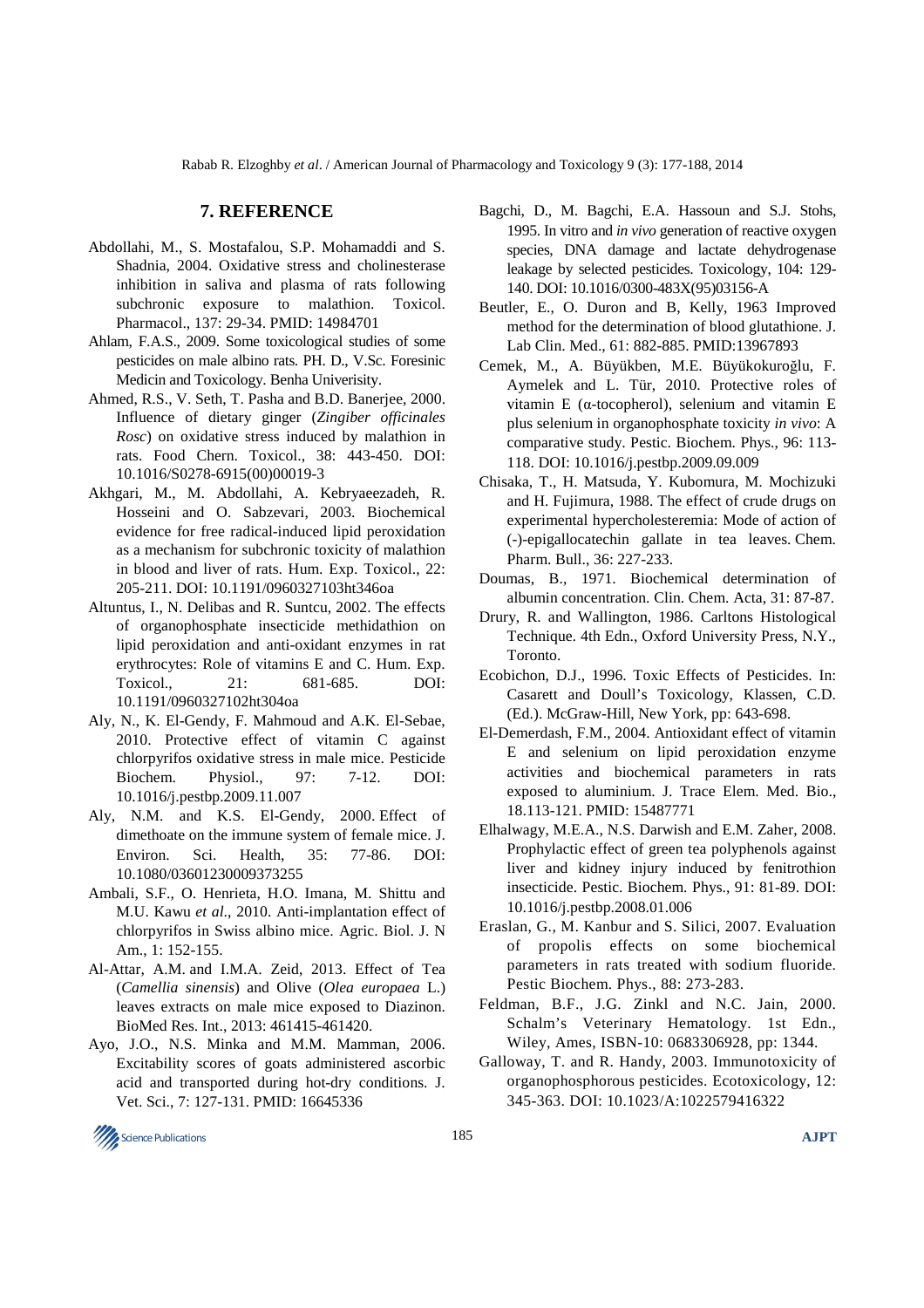Rabab R. Elzoghby *et al*. / American Journal of Pharmacology and Toxicology 9 (3): 177-188, 2014

# **7. REFERENCE**

- Abdollahi, M., S. Mostafalou, S.P. Mohamaddi and S. Shadnia, 2004. Oxidative stress and cholinesterase inhibition in saliva and plasma of rats following subchronic exposure to malathion. Toxicol. Pharmacol., 137: 29-34. PMID: 14984701
- Ahlam, F.A.S., 2009. Some toxicological studies of some pesticides on male albino rats. PH. D., V.Sc. Foresinic Medicin and Toxicology. Benha Univerisity.
- Ahmed, R.S., V. Seth, T. Pasha and B.D. Banerjee, 2000. Influence of dietary ginger (*Zingiber officinales Rosc*) on oxidative stress induced by malathion in rats. Food Chern. Toxicol., 38: 443-450. DOI: 10.1016/S0278-6915(00)00019-3
- Akhgari, M., M. Abdollahi, A. Kebryaeezadeh, R. Hosseini and O. Sabzevari, 2003. Biochemical evidence for free radical-induced lipid peroxidation as a mechanism for subchronic toxicity of malathion in blood and liver of rats. Hum. Exp. Toxicol., 22: 205-211. DOI: 10.1191/0960327103ht346oa
- Altuntus, I., N. Delibas and R. Suntcu, 2002. The effects of organophosphate insecticide methidathion on lipid peroxidation and anti-oxidant enzymes in rat erythrocytes: Role of vitamins E and C. Hum. Exp. Toxicol., 21: 681-685. DOI: 10.1191/0960327102ht304oa
- Aly, N., K. El-Gendy, F. Mahmoud and A.K. El-Sebae, 2010. Protective effect of vitamin C against chlorpyrifos oxidative stress in male mice. Pesticide Biochem. Physiol., 97: 7-12. DOI: 10.1016/j.pestbp.2009.11.007
- Aly, N.M. and K.S. El-Gendy, 2000. Effect of dimethoate on the immune system of female mice. J. Environ. Sci. Health, 35: 77-86. DOI: 10.1080/03601230009373255
- Ambali, S.F., O. Henrieta, H.O. Imana, M. Shittu and M.U. Kawu *et al*., 2010. Anti-implantation effect of chlorpyrifos in Swiss albino mice. Agric. Biol. J. N Am., 1: 152-155.
- Al-Attar, A.M. and I.M.A. Zeid, 2013. Effect of Tea (*Camellia sinensis*) and Olive (*Olea europaea* L.) leaves extracts on male mice exposed to Diazinon. BioMed Res. Int., 2013: 461415-461420.
- Ayo, J.O., N.S. Minka and M.M. Mamman, 2006. Excitability scores of goats administered ascorbic acid and transported during hot-dry conditions. J. Vet. Sci., 7: 127-131. PMID: 16645336
- Bagchi, D., M. Bagchi, E.A. Hassoun and S.J. Stohs, 1995. In vitro and *in vivo* generation of reactive oxygen species, DNA damage and lactate dehydrogenase leakage by selected pesticides. Toxicology, 104: 129- 140. DOI: 10.1016/0300-483X(95)03156-A
- Beutler, E., O. Duron and B, Kelly, 1963 Improved method for the determination of blood glutathione. J. Lab Clin. Med., 61: 882-885. PMID:13967893
- Cemek, M., A. Büyükben, M.E. Büyükokuroğlu, F. Aymelek and L. Tür, 2010. Protective roles of vitamin E (α-tocopherol), selenium and vitamin E plus selenium in organophosphate toxicity *in vivo*: A comparative study. Pestic. Biochem. Phys., 96: 113- 118. DOI: 10.1016/j.pestbp.2009.09.009
- Chisaka, T., H. Matsuda, Y. Kubomura, M. Mochizuki and H. Fujimura, 1988. The effect of crude drugs on experimental hypercholesteremia: Mode of action of (-)-epigallocatechin gallate in tea leaves. Chem. Pharm. Bull., 36: 227-233.
- Doumas, B., 1971. Biochemical determination of albumin concentration. Clin. Chem. Acta, 31: 87-87.
- Drury, R. and Wallington, 1986. Carltons Histological Technique. 4th Edn., Oxford University Press, N.Y., Toronto.
- Ecobichon, D.J., 1996. Toxic Effects of Pesticides. In: Casarett and Doull's Toxicology, Klassen, C.D. (Ed.). McGraw-Hill, New York, pp: 643-698.
- El-Demerdash, F.M., 2004. Antioxidant effect of vitamin E and selenium on lipid peroxidation enzyme activities and biochemical parameters in rats exposed to aluminium. J. Trace Elem. Med. Bio., 18.113-121. PMID: 15487771
- Elhalwagy, M.E.A., N.S. Darwish and E.M. Zaher, 2008. Prophylactic effect of green tea polyphenols against liver and kidney injury induced by fenitrothion insecticide. Pestic. Biochem. Phys., 91: 81-89. DOI: 10.1016/j.pestbp.2008.01.006
- Eraslan, G., M. Kanbur and S. Silici, 2007. Evaluation of propolis effects on some biochemical parameters in rats treated with sodium fluoride. Pestic Biochem. Phys., 88: 273-283.
- Feldman, B.F., J.G. Zinkl and N.C. Jain, 2000. Schalm's Veterinary Hematology. 1st Edn., Wiley, Ames, ISBN-10: 0683306928, pp: 1344.
- Galloway, T. and R. Handy, 2003. Immunotoxicity of organophosphorous pesticides. Ecotoxicology, 12: 345-363. DOI: 10.1023/A:1022579416322

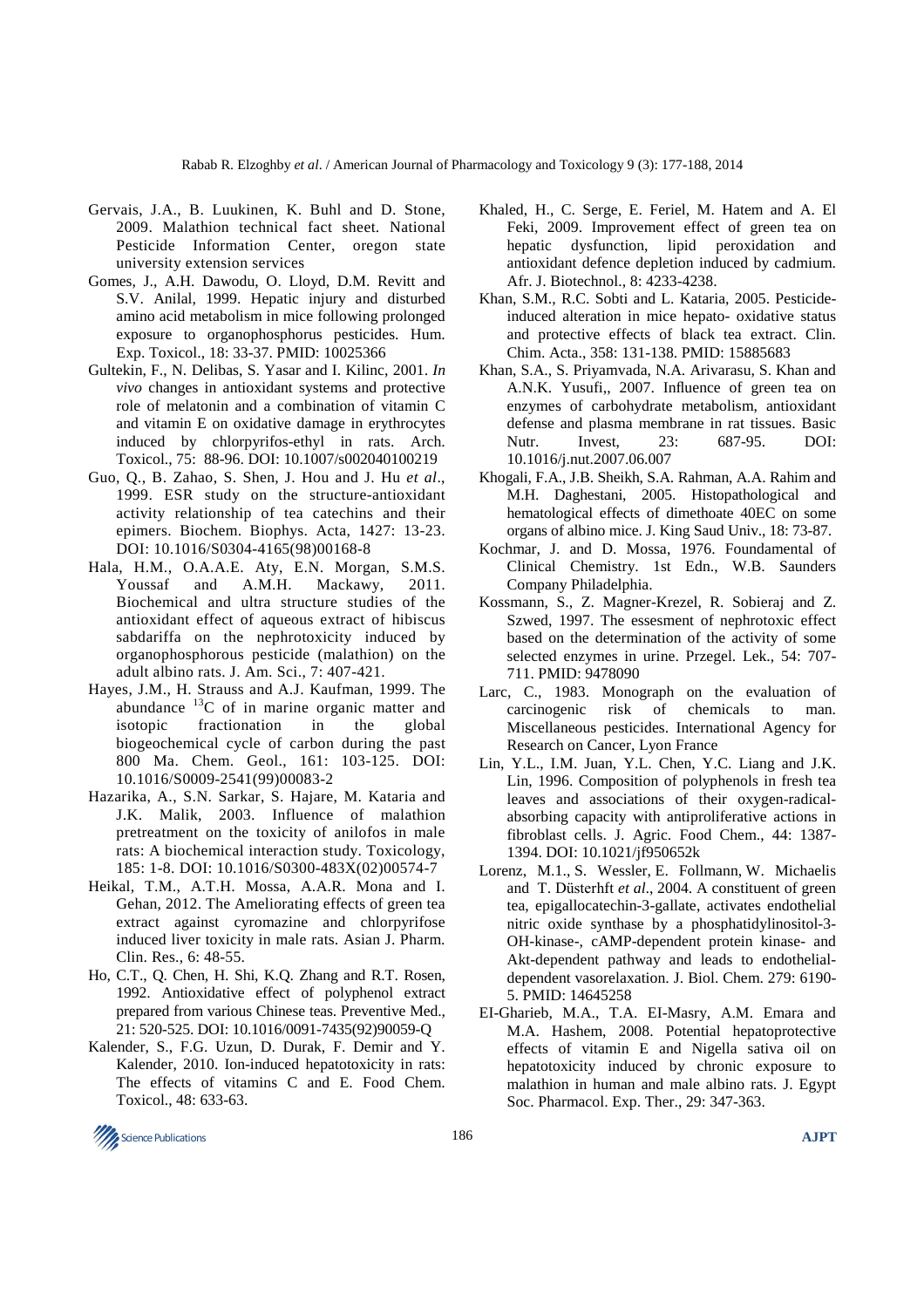- Gervais, J.A., B. Luukinen, K. Buhl and D. Stone, 2009. Malathion technical fact sheet. National Pesticide Information Center, oregon state university extension services
- Gomes, J., A.H. Dawodu, O. Lloyd, D.M. Revitt and S.V. Anilal, 1999. Hepatic injury and disturbed amino acid metabolism in mice following prolonged exposure to organophosphorus pesticides. Hum. Exp. Toxicol., 18: 33-37. PMID: 10025366
- Gultekin, F., N. Delibas, S. Yasar and I. Kilinc, 2001. *In vivo* changes in antioxidant systems and protective role of melatonin and a combination of vitamin C and vitamin E on oxidative damage in erythrocytes induced by chlorpyrifos-ethyl in rats. Arch. Toxicol., 75: 88-96. DOI: 10.1007/s002040100219
- Guo, Q., B. Zahao, S. Shen, J. Hou and J. Hu *et al*., 1999. ESR study on the structure-antioxidant activity relationship of tea catechins and their epimers. Biochem. Biophys. Acta, 1427: 13-23. DOI: 10.1016/S0304-4165(98)00168-8
- Hala, H.M., O.A.A.E. Aty, E.N. Morgan, S.M.S. Youssaf and A.M.H. Mackawy, 2011. Biochemical and ultra structure studies of the antioxidant effect of aqueous extract of hibiscus sabdariffa on the nephrotoxicity induced by organophosphorous pesticide (malathion) on the adult albino rats. J. Am. Sci., 7: 407-421.
- Hayes, J.M., H. Strauss and A.J. Kaufman, 1999. The abundance  ${}^{13}C$  of in marine organic matter and isotopic fractionation in the global biogeochemical cycle of carbon during the past 800 Ma. Chem. Geol., 161: 103-125. DOI: 10.1016/S0009-2541(99)00083-2
- Hazarika, A., S.N. Sarkar, S. Hajare, M. Kataria and J.K. Malik, 2003. Influence of malathion pretreatment on the toxicity of anilofos in male rats: A biochemical interaction study. Toxicology, 185: 1-8. DOI: 10.1016/S0300-483X(02)00574-7
- Heikal, T.M., A.T.H. Mossa, A.A.R. Mona and I. Gehan, 2012. The Ameliorating effects of green tea extract against cyromazine and chlorpyrifose induced liver toxicity in male rats. Asian J. Pharm. Clin. Res., 6: 48-55.
- Ho, C.T., Q. Chen, H. Shi, K.Q. Zhang and R.T. Rosen, 1992. Antioxidative effect of polyphenol extract prepared from various Chinese teas. Preventive Med., 21: 520-525. DOI: 10.1016/0091-7435(92)90059-Q
- Kalender, S., F.G. Uzun, D. Durak, F. Demir and Y. Kalender, 2010. Ion-induced hepatotoxicity in rats: The effects of vitamins C and E. Food Chem. Toxicol., 48: 633-63.
- Khaled, H., C. Serge, E. Feriel, M. Hatem and A. El Feki, 2009. Improvement effect of green tea on hepatic dysfunction, lipid peroxidation and antioxidant defence depletion induced by cadmium. Afr. J. Biotechnol., 8: 4233-4238.
- Khan, S.M., R.C. Sobti and L. Kataria, 2005. Pesticideinduced alteration in mice hepato- oxidative status and protective effects of black tea extract. Clin. Chim. Acta., 358: 131-138. PMID: 15885683
- Khan, S.A., S. Priyamvada, N.A. Arivarasu, S. Khan and A.N.K. Yusufi,, 2007. Influence of green tea on enzymes of carbohydrate metabolism, antioxidant defense and plasma membrane in rat tissues. Basic Nutr. Invest, 23: 687-95. DOI: 10.1016/j.nut.2007.06.007
- Khogali, F.A., J.B. Sheikh, S.A. Rahman, A.A. Rahim and M.H. Daghestani, 2005. Histopathological and hematological effects of dimethoate 40EC on some organs of albino mice. J. King Saud Univ., 18: 73-87.
- Kochmar, J. and D. Mossa, 1976. Foundamental of Clinical Chemistry. 1st Edn., W.B. Saunders Company Philadelphia.
- Kossmann, S., Z. Magner-Krezel, R. Sobieraj and Z. Szwed, 1997. The essesment of nephrotoxic effect based on the determination of the activity of some selected enzymes in urine. Przegel. Lek., 54: 707- 711. PMID: 9478090
- Larc, C., 1983. Monograph on the evaluation of carcinogenic risk of chemicals to man. Miscellaneous pesticides. International Agency for Research on Cancer, Lyon France
- Lin, Y.L., I.M. Juan, Y.L. Chen, Y.C. Liang and J.K. Lin, 1996. Composition of polyphenols in fresh tea leaves and associations of their oxygen-radicalabsorbing capacity with antiproliferative actions in fibroblast cells. J. Agric. Food Chem., 44: 1387- 1394. DOI: 10.1021/jf950652k
- Lorenz, M.1., S. Wessler, E. Follmann, W. Michaelis and T. Düsterhft *et al.*, 2004. A constituent of green tea, epigallocatechin-3-gallate, activates endothelial nitric oxide synthase by a phosphatidylinositol-3- OH-kinase-, cAMP-dependent protein kinase- and Akt-dependent pathway and leads to endothelialdependent vasorelaxation. J. Biol. Chem. 279: 6190- 5. PMID: 14645258
- EI-Gharieb, M.A., T.A. EI-Masry, A.M. Emara and M.A. Hashem, 2008. Potential hepatoprotective effects of vitamin E and Nigella sativa oil on hepatotoxicity induced by chronic exposure to malathion in human and male albino rats. J. Egypt Soc. Pharmacol. Exp. Ther., 29: 347-363.

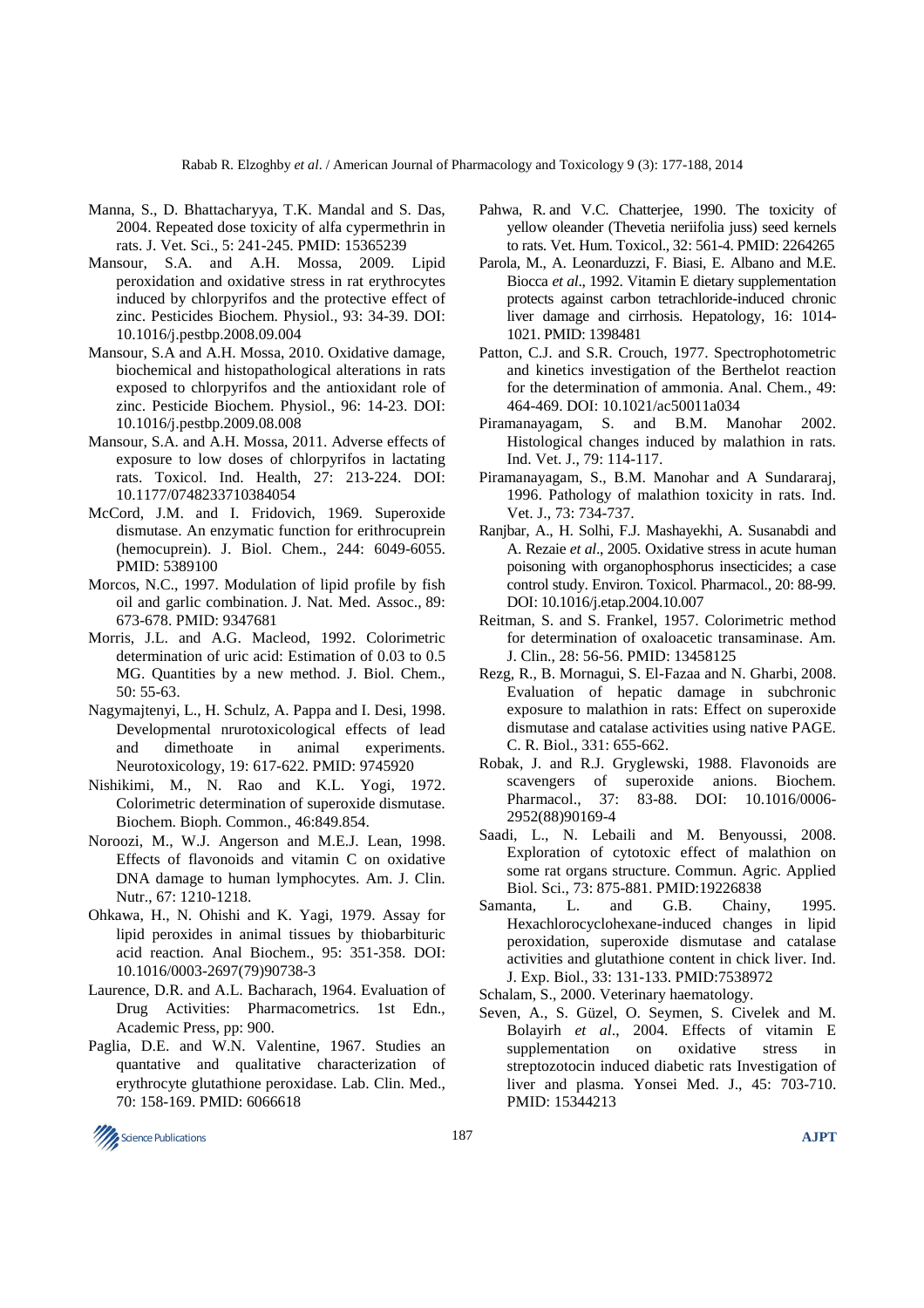Rabab R. Elzoghby *et al*. / American Journal of Pharmacology and Toxicology 9 (3): 177-188, 2014

- Manna, S., D. Bhattacharyya, T.K. Mandal and S. Das, 2004. Repeated dose toxicity of alfa cypermethrin in rats. J. Vet. Sci., 5: 241-245. PMID: 15365239
- Mansour, S.A. and A.H. Mossa, 2009. Lipid peroxidation and oxidative stress in rat erythrocytes induced by chlorpyrifos and the protective effect of zinc. Pesticides Biochem. Physiol., 93: 34-39. DOI: 10.1016/j.pestbp.2008.09.004
- Mansour, S.A and A.H. Mossa, 2010. Oxidative damage, biochemical and histopathological alterations in rats exposed to chlorpyrifos and the antioxidant role of zinc. Pesticide Biochem. Physiol., 96: 14-23. DOI: 10.1016/j.pestbp.2009.08.008
- Mansour, S.A. and A.H. Mossa, 2011. Adverse effects of exposure to low doses of chlorpyrifos in lactating rats. Toxicol. Ind. Health, 27: 213-224. DOI: 10.1177/0748233710384054
- McCord, J.M. and I. Fridovich, 1969. Superoxide dismutase. An enzymatic function for erithrocuprein (hemocuprein). J. Biol. Chem., 244: 6049-6055. PMID: 5389100
- Morcos, N.C., 1997. Modulation of lipid profile by fish oil and garlic combination. J. Nat. Med. Assoc., 89: 673-678. PMID: 9347681
- Morris, J.L. and A.G. Macleod, 1992. Colorimetric determination of uric acid: Estimation of 0.03 to 0.5 MG. Quantities by a new method. J. Biol. Chem., 50: 55-63.
- Nagymajtenyi, L., H. Schulz, A. Pappa and I. Desi, 1998. Developmental nrurotoxicological effects of lead and dimethoate in animal experiments. Neurotoxicology, 19: 617-622. PMID: 9745920
- Nishikimi, M., N. Rao and K.L. Yogi, 1972. Colorimetric determination of superoxide dismutase. Biochem. Bioph. Common., 46:849.854.
- Noroozi, M., W.J. Angerson and M.E.J. Lean, 1998. Effects of flavonoids and vitamin C on oxidative DNA damage to human lymphocytes. Am. J. Clin. Nutr., 67: 1210-1218.
- Ohkawa, H., N. Ohishi and K. Yagi, 1979. Assay for lipid peroxides in animal tissues by thiobarbituric acid reaction. Anal Biochem., 95: 351-358. DOI: 10.1016/0003-2697(79)90738-3
- Laurence, D.R. and A.L. Bacharach, 1964. Evaluation of Drug Activities: Pharmacometrics. 1st Edn., Academic Press, pp: 900.
- Paglia, D.E. and W.N. Valentine, 1967. Studies an quantative and qualitative characterization of erythrocyte glutathione peroxidase. Lab. Clin. Med., 70: 158-169. PMID: 6066618
- Pahwa, R. and V.C. Chatterjee, 1990. The toxicity of yellow oleander (Thevetia neriifolia juss) seed kernels to rats. Vet. Hum. Toxicol., 32: 561-4. PMID: 2264265
- Parola, M., A. Leonarduzzi, F. Biasi, E. Albano and M.E. Biocca *et al*., 1992. Vitamin E dietary supplementation protects against carbon tetrachloride-induced chronic liver damage and cirrhosis. Hepatology, 16: 1014- 1021. PMID: 1398481
- Patton, C.J. and S.R. Crouch, 1977. Spectrophotometric and kinetics investigation of the Berthelot reaction for the determination of ammonia. Anal. Chem., 49: 464-469. DOI: 10.1021/ac50011a034
- Piramanayagam, S. and B.M. Manohar 2002. Histological changes induced by malathion in rats. Ind. Vet. J., 79: 114-117.
- Piramanayagam, S., B.M. Manohar and A Sundararaj, 1996. Pathology of malathion toxicity in rats. Ind. Vet. J., 73: 734-737.
- Ranjbar, A., H. Solhi, F.J. Mashayekhi, A. Susanabdi and A. Rezaie *et al*., 2005. Oxidative stress in acute human poisoning with organophosphorus insecticides; a case control study. Environ. Toxicol. Pharmacol., 20: 88-99. DOI: 10.1016/j.etap.2004.10.007
- Reitman, S. and S. Frankel, 1957. Colorimetric method for determination of oxaloacetic transaminase. Am. J. Clin., 28: 56-56. PMID: 13458125
- Rezg, R., B. Mornagui, S. El-Fazaa and N. Gharbi, 2008. Evaluation of hepatic damage in subchronic exposure to malathion in rats: Effect on superoxide dismutase and catalase activities using native PAGE. C. R. Biol., 331: 655-662.
- Robak, J. and R.J. Gryglewski, 1988. Flavonoids are scavengers of superoxide anions. Biochem. Pharmacol., 37: 83-88. DOI: 10.1016/0006- 2952(88)90169-4
- Saadi, L., N. Lebaili and M. Benyoussi, 2008. Exploration of cytotoxic effect of malathion on some rat organs structure. Commun. Agric. Applied Biol. Sci., 73: 875-881. PMID:19226838
- Samanta, L. and G.B. Chainy, 1995. Hexachlorocyclohexane-induced changes in lipid peroxidation, superoxide dismutase and catalase activities and glutathione content in chick liver. Ind. J. Exp. Biol., 33: 131-133. PMID:7538972
- Schalam, S., 2000. Veterinary haematology.
- Seven, A., S. Güzel, O. Seymen, S. Civelek and M. Bolayirh *et al.*, 2004. Effects of vitamin E supplementation on oxidative stress in supplementation on oxidative stress in streptozotocin induced diabetic rats Investigation of liver and plasma. Yonsei Med. J., 45: 703-710. PMID: 15344213